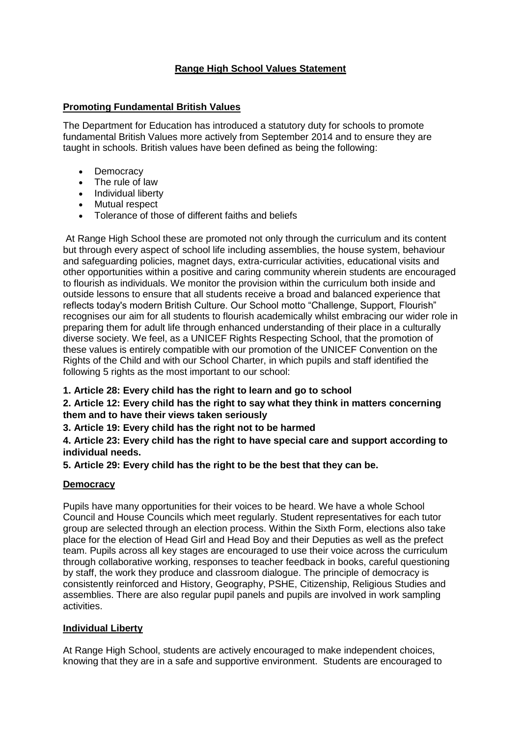# **Range High School Values Statement**

## **Promoting Fundamental British Values**

The Department for Education has introduced a statutory duty for schools to promote fundamental British Values more actively from September 2014 and to ensure they are taught in schools. British values have been defined as being the following:

- Democracy
- The rule of law
- Individual liberty
- Mutual respect
- Tolerance of those of different faiths and beliefs

At Range High School these are promoted not only through the curriculum and its content but through every aspect of school life including assemblies, the house system, behaviour and safeguarding policies, magnet days, extra-curricular activities, educational visits and other opportunities within a positive and caring community wherein students are encouraged to flourish as individuals. We monitor the provision within the curriculum both inside and outside lessons to ensure that all students receive a broad and balanced experience that reflects today's modern British Culture. Our School motto "Challenge, Support, Flourish" recognises our aim for all students to flourish academically whilst embracing our wider role in preparing them for adult life through enhanced understanding of their place in a culturally diverse society. We feel, as a UNICEF Rights Respecting School, that the promotion of these values is entirely compatible with our promotion of the UNICEF Convention on the Rights of the Child and with our School Charter, in which pupils and staff identified the following 5 rights as the most important to our school:

# **1. Article 28: Every child has the right to learn and go to school**

## **2. Article 12: Every child has the right to say what they think in matters concerning them and to have their views taken seriously**

### **3. Article 19: Every child has the right not to be harmed**

**4. Article 23: Every child has the right to have special care and support according to individual needs.** 

### **5. Article 29: Every child has the right to be the best that they can be.**

### **Democracy**

Pupils have many opportunities for their voices to be heard. We have a whole School Council and House Councils which meet regularly. Student representatives for each tutor group are selected through an election process. Within the Sixth Form, elections also take place for the election of Head Girl and Head Boy and their Deputies as well as the prefect team. Pupils across all key stages are encouraged to use their voice across the curriculum through collaborative working, responses to teacher feedback in books, careful questioning by staff, the work they produce and classroom dialogue. The principle of democracy is consistently reinforced and History, Geography, PSHE, Citizenship, Religious Studies and assemblies. There are also regular pupil panels and pupils are involved in work sampling activities.

### **Individual Liberty**

At Range High School, students are actively encouraged to make independent choices, knowing that they are in a safe and supportive environment. Students are encouraged to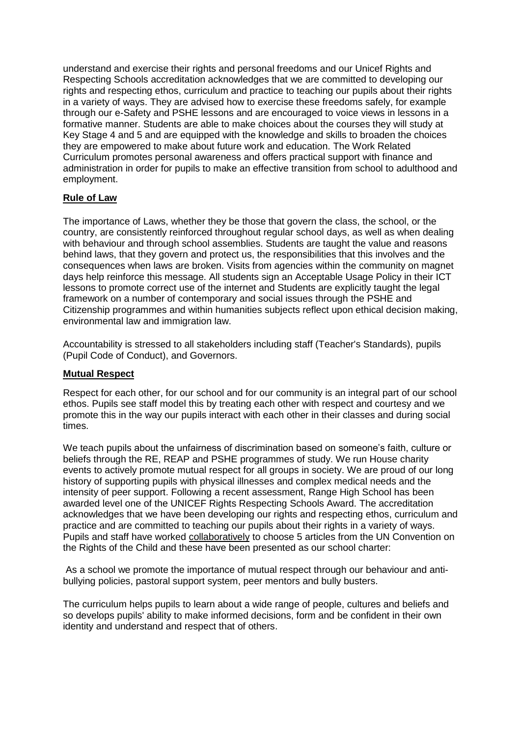understand and exercise their rights and personal freedoms and our Unicef Rights and Respecting Schools accreditation acknowledges that we are committed to developing our rights and respecting ethos, curriculum and practice to teaching our pupils about their rights in a variety of ways. They are advised how to exercise these freedoms safely, for example through our e-Safety and PSHE lessons and are encouraged to voice views in lessons in a formative manner. Students are able to make choices about the courses they will study at Key Stage 4 and 5 and are equipped with the knowledge and skills to broaden the choices they are empowered to make about future work and education. The Work Related Curriculum promotes personal awareness and offers practical support with finance and administration in order for pupils to make an effective transition from school to adulthood and employment.

## **Rule of Law**

The importance of Laws, whether they be those that govern the class, the school, or the country, are consistently reinforced throughout regular school days, as well as when dealing with behaviour and through school assemblies. Students are taught the value and reasons behind laws, that they govern and protect us, the responsibilities that this involves and the consequences when laws are broken. Visits from agencies within the community on magnet days help reinforce this message. All students sign an Acceptable Usage Policy in their ICT lessons to promote correct use of the internet and Students are explicitly taught the legal framework on a number of contemporary and social issues through the PSHE and Citizenship programmes and within humanities subjects reflect upon ethical decision making, environmental law and immigration law.

Accountability is stressed to all stakeholders including staff (Teacher's Standards), pupils (Pupil Code of Conduct), and Governors.

#### **Mutual Respect**

Respect for each other, for our school and for our community is an integral part of our school ethos. Pupils see staff model this by treating each other with respect and courtesy and we promote this in the way our pupils interact with each other in their classes and during social times.

We teach pupils about the unfairness of discrimination based on someone's faith, culture or beliefs through the RE, REAP and PSHE programmes of study. We run House charity events to actively promote mutual respect for all groups in society. We are proud of our long history of supporting pupils with physical illnesses and complex medical needs and the intensity of peer support. Following a recent assessment, Range High School has been awarded level one of the UNICEF Rights Respecting Schools Award. The accreditation acknowledges that we have been developing our rights and respecting ethos, curriculum and practice and are committed to teaching our pupils about their rights in a variety of ways. Pupils and staff have worked collaboratively to choose 5 articles from the UN Convention on the Rights of the Child and these have been presented as our school charter:

As a school we promote the importance of mutual respect through our behaviour and antibullying policies, pastoral support system, peer mentors and bully busters.

The curriculum helps pupils to learn about a wide range of people, cultures and beliefs and so develops pupils' ability to make informed decisions, form and be confident in their own identity and understand and respect that of others.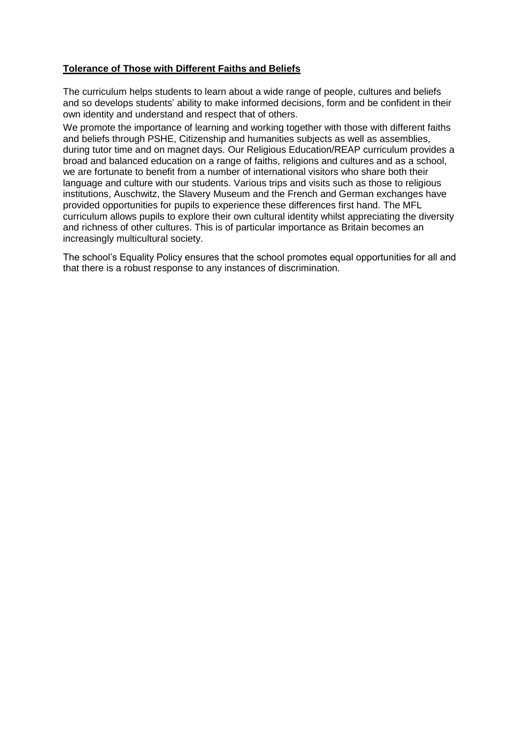### **Tolerance of Those with Different Faiths and Beliefs**

The curriculum helps students to learn about a wide range of people, cultures and beliefs and so develops students' ability to make informed decisions, form and be confident in their own identity and understand and respect that of others.

We promote the importance of learning and working together with those with different faiths and beliefs through PSHE, Citizenship and humanities subjects as well as assemblies, during tutor time and on magnet days. Our Religious Education/REAP curriculum provides a broad and balanced education on a range of faiths, religions and cultures and as a school, we are fortunate to benefit from a number of international visitors who share both their language and culture with our students. Various trips and visits such as those to religious institutions, Auschwitz, the Slavery Museum and the French and German exchanges have provided opportunities for pupils to experience these differences first hand. The MFL curriculum allows pupils to explore their own cultural identity whilst appreciating the diversity and richness of other cultures. This is of particular importance as Britain becomes an increasingly multicultural society.

The school's Equality Policy ensures that the school promotes equal opportunities for all and that there is a robust response to any instances of discrimination.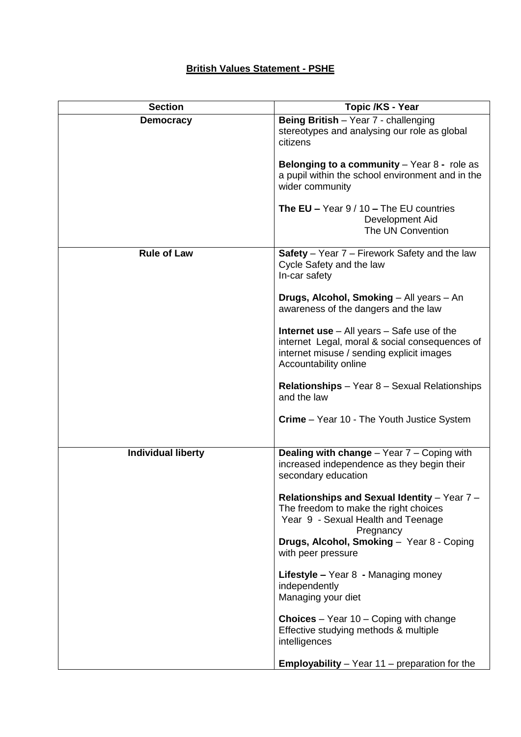# **British Values Statement - PSHE**

| <b>Section</b>            | Topic /KS - Year                                                                                                                                                              |
|---------------------------|-------------------------------------------------------------------------------------------------------------------------------------------------------------------------------|
| <b>Democracy</b>          | Being British - Year 7 - challenging<br>stereotypes and analysing our role as global<br>citizens                                                                              |
|                           | Belonging to a community $-$ Year 8 - role as<br>a pupil within the school environment and in the<br>wider community                                                          |
|                           | <b>The EU – Year 9 / 10 – The EU countries</b><br>Development Aid<br>The UN Convention                                                                                        |
| <b>Rule of Law</b>        | Safety - Year 7 - Firework Safety and the law<br>Cycle Safety and the law<br>In-car safety                                                                                    |
|                           | Drugs, Alcohol, Smoking - All years - An<br>awareness of the dangers and the law                                                                                              |
|                           | <b>Internet use</b> $-$ All years $-$ Safe use of the<br>internet Legal, moral & social consequences of<br>internet misuse / sending explicit images<br>Accountability online |
|                           | <b>Relationships</b> – Year 8 – Sexual Relationships<br>and the law                                                                                                           |
|                           | <b>Crime</b> – Year 10 - The Youth Justice System                                                                                                                             |
| <b>Individual liberty</b> | <b>Dealing with change - Year 7 - Coping with</b><br>increased independence as they begin their<br>secondary education                                                        |
|                           | Relationships and Sexual Identity - Year 7 -<br>The freedom to make the right choices<br>Year 9 - Sexual Health and Teenage<br>Pregnancy                                      |
|                           | Drugs, Alcohol, Smoking - Year 8 - Coping<br>with peer pressure                                                                                                               |
|                           | Lifestyle - Year 8 - Managing money<br>independently<br>Managing your diet                                                                                                    |
|                           | <b>Choices</b> – Year $10$ – Coping with change<br>Effective studying methods & multiple<br>intelligences                                                                     |
|                           | <b>Employability</b> $-$ Year 11 $-$ preparation for the                                                                                                                      |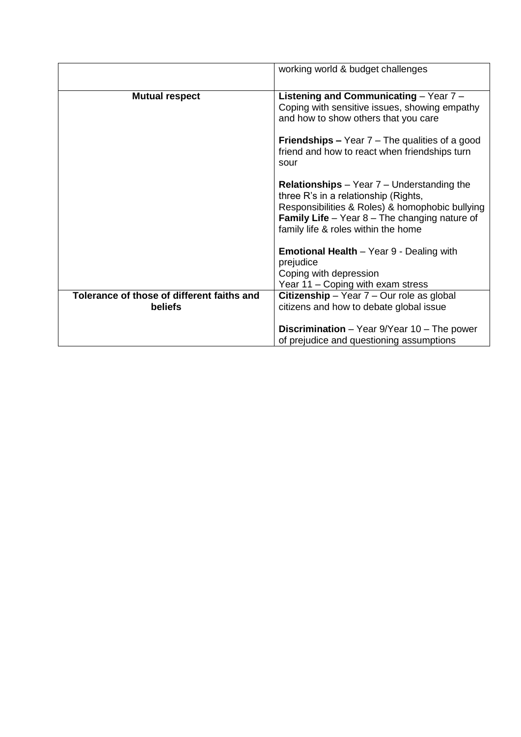|                                            | working world & budget challenges                                                                                                                                                                                                                     |
|--------------------------------------------|-------------------------------------------------------------------------------------------------------------------------------------------------------------------------------------------------------------------------------------------------------|
| <b>Mutual respect</b>                      | Listening and Communicating - Year 7 -<br>Coping with sensitive issues, showing empathy<br>and how to show others that you care                                                                                                                       |
|                                            | <b>Friendships –</b> Year $7$ – The qualities of a good<br>friend and how to react when friendships turn<br>sour                                                                                                                                      |
|                                            | <b>Relationships</b> $-$ Year $7$ $-$ Understanding the<br>three R's in a relationship (Rights,<br>Responsibilities & Roles) & homophobic bullying<br><b>Family Life</b> $-$ Year $8$ – The changing nature of<br>family life & roles within the home |
|                                            | <b>Emotional Health</b> – Year 9 - Dealing with<br>prejudice<br>Coping with depression<br>Year 11 – Coping with exam stress                                                                                                                           |
| Tolerance of those of different faiths and | Citizenship - Year $7$ - Our role as global                                                                                                                                                                                                           |
| <b>beliefs</b>                             | citizens and how to debate global issue                                                                                                                                                                                                               |
|                                            | <b>Discrimination</b> – Year $9$ /Year 10 – The power<br>of prejudice and questioning assumptions                                                                                                                                                     |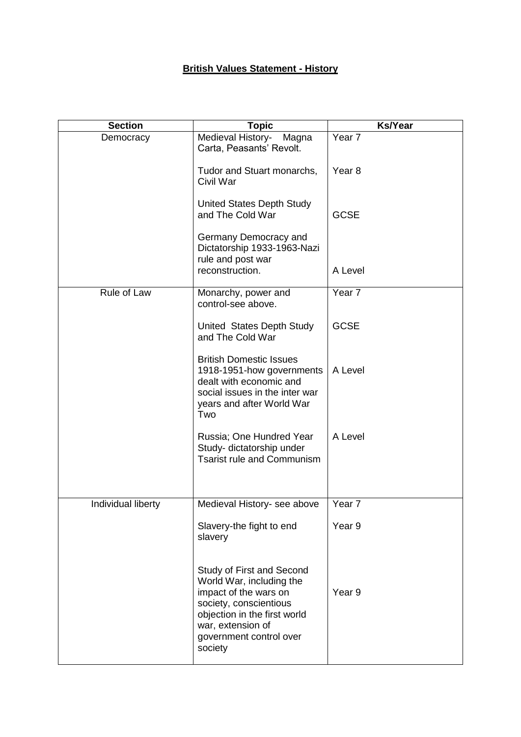# **British Values Statement - History**

| <b>Section</b>     | <b>Topic</b>                                                                                                                                                                                        | <b>Ks/Year</b>    |
|--------------------|-----------------------------------------------------------------------------------------------------------------------------------------------------------------------------------------------------|-------------------|
| Democracy          | Medieval History-<br>Magna<br>Carta, Peasants' Revolt.                                                                                                                                              | Year 7            |
|                    | Tudor and Stuart monarchs,<br>Civil War                                                                                                                                                             | Year <sub>8</sub> |
|                    | United States Depth Study<br>and The Cold War                                                                                                                                                       | <b>GCSE</b>       |
|                    | Germany Democracy and<br>Dictatorship 1933-1963-Nazi<br>rule and post war                                                                                                                           |                   |
|                    | reconstruction.                                                                                                                                                                                     | A Level           |
| Rule of Law        | Monarchy, power and<br>control-see above.                                                                                                                                                           | Year <sub>7</sub> |
|                    | United States Depth Study<br>and The Cold War                                                                                                                                                       | <b>GCSE</b>       |
|                    | <b>British Domestic Issues</b><br>1918-1951-how governments<br>dealt with economic and<br>social issues in the inter war<br>years and after World War<br>Two                                        | A Level           |
|                    | Russia; One Hundred Year<br>Study- dictatorship under<br><b>Tsarist rule and Communism</b>                                                                                                          | A Level           |
| Individual liberty | Medieval History- see above                                                                                                                                                                         | Year <sub>7</sub> |
|                    | Slavery-the fight to end<br>slavery                                                                                                                                                                 | Year <sub>9</sub> |
|                    | Study of First and Second<br>World War, including the<br>impact of the wars on<br>society, conscientious<br>objection in the first world<br>war, extension of<br>government control over<br>society | Year <sub>9</sub> |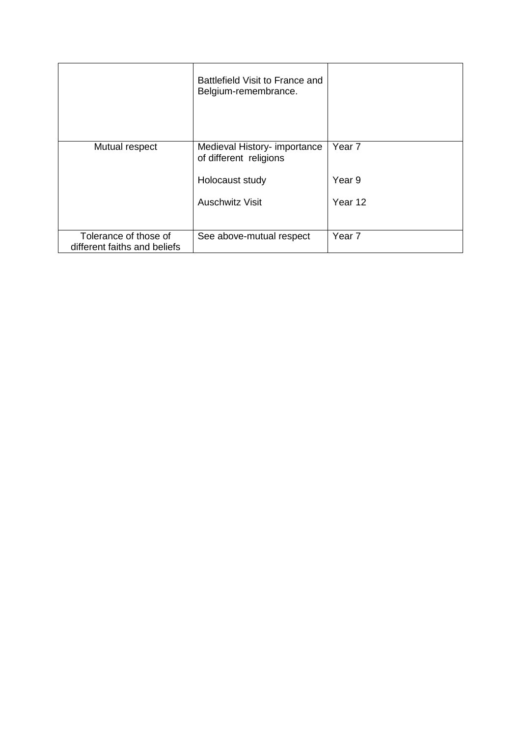|                                                       | Battlefield Visit to France and<br>Belgium-remembrance. |                   |
|-------------------------------------------------------|---------------------------------------------------------|-------------------|
| Mutual respect                                        | Medieval History- importance<br>of different religions  | Year <sub>7</sub> |
|                                                       | Holocaust study                                         | Year 9            |
|                                                       | <b>Auschwitz Visit</b>                                  | Year 12           |
|                                                       |                                                         |                   |
| Tolerance of those of<br>different faiths and beliefs | See above-mutual respect                                | Year <sub>7</sub> |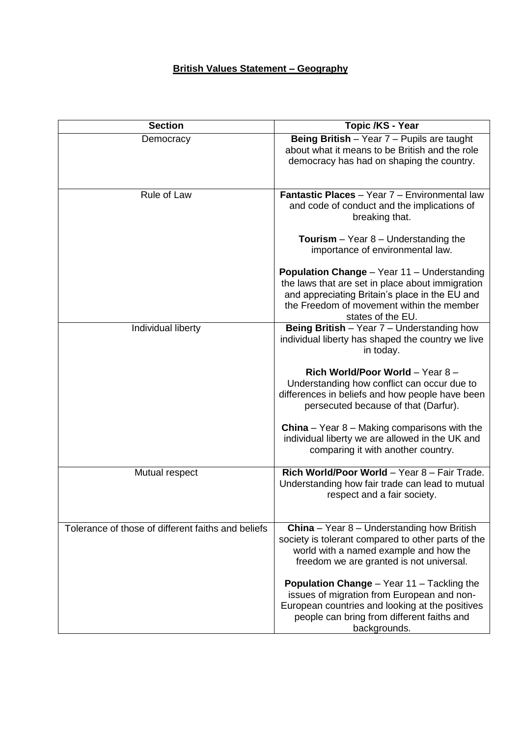# **British Values Statement – Geography**

| <b>Section</b>                                     | Topic /KS - Year                                                                                                                                                                                                    |
|----------------------------------------------------|---------------------------------------------------------------------------------------------------------------------------------------------------------------------------------------------------------------------|
| Democracy                                          | Being British - Year 7 - Pupils are taught<br>about what it means to be British and the role<br>democracy has had on shaping the country.                                                                           |
| Rule of Law                                        | Fantastic Places - Year 7 - Environmental law<br>and code of conduct and the implications of<br>breaking that.                                                                                                      |
|                                                    | <b>Tourism</b> $-$ Year 8 $-$ Understanding the<br>importance of environmental law.                                                                                                                                 |
|                                                    | Population Change - Year 11 - Understanding<br>the laws that are set in place about immigration<br>and appreciating Britain's place in the EU and<br>the Freedom of movement within the member<br>states of the EU. |
| Individual liberty                                 | Being British - Year 7 - Understanding how<br>individual liberty has shaped the country we live<br>in today.                                                                                                        |
|                                                    | Rich World/Poor World - Year 8 -<br>Understanding how conflict can occur due to<br>differences in beliefs and how people have been<br>persecuted because of that (Darfur).                                          |
|                                                    | <b>China</b> – Year $8$ – Making comparisons with the<br>individual liberty we are allowed in the UK and<br>comparing it with another country.                                                                      |
| Mutual respect                                     | Rich World/Poor World - Year 8 - Fair Trade.<br>Understanding how fair trade can lead to mutual<br>respect and a fair society.                                                                                      |
| Tolerance of those of different faiths and beliefs | <b>China</b> – Year $8$ – Understanding how British<br>society is tolerant compared to other parts of the<br>world with a named example and how the<br>freedom we are granted is not universal.                     |
|                                                    | <b>Population Change - Year 11 - Tackling the</b><br>issues of migration from European and non-<br>European countries and looking at the positives<br>people can bring from different faiths and<br>backgrounds.    |